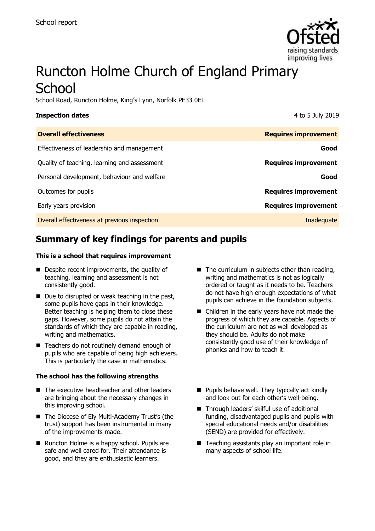

# Runcton Holme Church of England Primary **School**

School Road, Runcton Holme, King's Lynn, Norfolk PE33 0EL

| <b>Inspection dates</b>                      | 4 to 5 July 2019            |
|----------------------------------------------|-----------------------------|
| <b>Overall effectiveness</b>                 | <b>Requires improvement</b> |
| Effectiveness of leadership and management   | Good                        |
| Quality of teaching, learning and assessment | <b>Requires improvement</b> |
| Personal development, behaviour and welfare  | Good                        |
| Outcomes for pupils                          | <b>Requires improvement</b> |
| Early years provision                        | <b>Requires improvement</b> |
| Overall effectiveness at previous inspection | Inadequate                  |

# **Summary of key findings for parents and pupils**

#### **This is a school that requires improvement**

- Despite recent improvements, the quality of teaching, learning and assessment is not consistently good.
- Due to disrupted or weak teaching in the past, some pupils have gaps in their knowledge. Better teaching is helping them to close these gaps. However, some pupils do not attain the standards of which they are capable in reading, writing and mathematics.
- Teachers do not routinely demand enough of pupils who are capable of being high achievers. This is particularly the case in mathematics.

#### **The school has the following strengths**

- The executive headteacher and other leaders are bringing about the necessary changes in this improving school.
- The Diocese of Ely Multi-Academy Trust's (the trust) support has been instrumental in many of the improvements made.
- Runcton Holme is a happy school. Pupils are safe and well cared for. Their attendance is good, and they are enthusiastic learners.
- The curriculum in subjects other than reading, writing and mathematics is not as logically ordered or taught as it needs to be. Teachers do not have high enough expectations of what pupils can achieve in the foundation subjects.
- Children in the early years have not made the progress of which they are capable. Aspects of the curriculum are not as well developed as they should be. Adults do not make consistently good use of their knowledge of phonics and how to teach it.
- Pupils behave well. They typically act kindly and look out for each other's well-being.
- Through leaders' skilful use of additional funding, disadvantaged pupils and pupils with special educational needs and/or disabilities (SEND) are provided for effectively.
- Teaching assistants play an important role in many aspects of school life.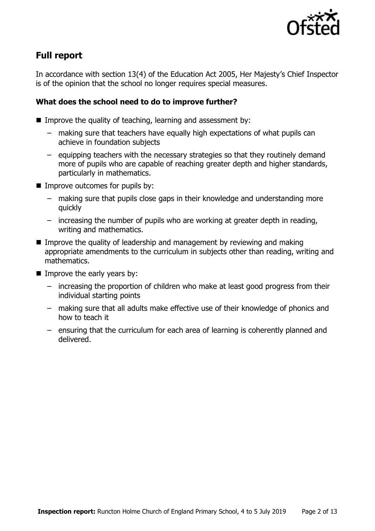

# **Full report**

In accordance with section 13(4) of the Education Act 2005, Her Majesty's Chief Inspector is of the opinion that the school no longer requires special measures.

### **What does the school need to do to improve further?**

- Improve the quality of teaching, learning and assessment by:
	- making sure that teachers have equally high expectations of what pupils can achieve in foundation subjects
	- equipping teachers with the necessary strategies so that they routinely demand more of pupils who are capable of reaching greater depth and higher standards, particularly in mathematics.
- Improve outcomes for pupils by:
	- making sure that pupils close gaps in their knowledge and understanding more quickly
	- increasing the number of pupils who are working at greater depth in reading, writing and mathematics.
- Improve the quality of leadership and management by reviewing and making appropriate amendments to the curriculum in subjects other than reading, writing and mathematics.
- Improve the early years by:
	- increasing the proportion of children who make at least good progress from their individual starting points
	- making sure that all adults make effective use of their knowledge of phonics and how to teach it
	- ensuring that the curriculum for each area of learning is coherently planned and delivered.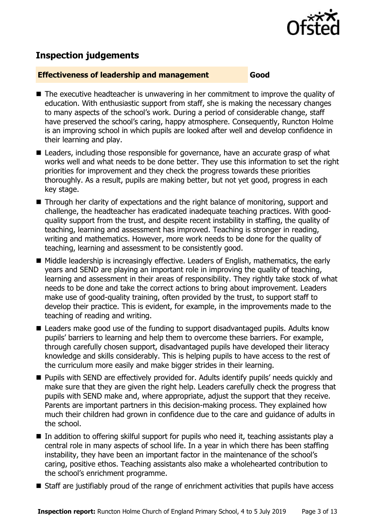

# **Inspection judgements**

#### **Effectiveness of leadership and management Good**

- The executive headteacher is unwavering in her commitment to improve the quality of education. With enthusiastic support from staff, she is making the necessary changes to many aspects of the school's work. During a period of considerable change, staff have preserved the school's caring, happy atmosphere. Consequently, Runcton Holme is an improving school in which pupils are looked after well and develop confidence in their learning and play.
- Leaders, including those responsible for governance, have an accurate grasp of what works well and what needs to be done better. They use this information to set the right priorities for improvement and they check the progress towards these priorities thoroughly. As a result, pupils are making better, but not yet good, progress in each key stage.
- Through her clarity of expectations and the right balance of monitoring, support and challenge, the headteacher has eradicated inadequate teaching practices. With goodquality support from the trust, and despite recent instability in staffing, the quality of teaching, learning and assessment has improved. Teaching is stronger in reading, writing and mathematics. However, more work needs to be done for the quality of teaching, learning and assessment to be consistently good.
- Middle leadership is increasingly effective. Leaders of English, mathematics, the early years and SEND are playing an important role in improving the quality of teaching, learning and assessment in their areas of responsibility. They rightly take stock of what needs to be done and take the correct actions to bring about improvement. Leaders make use of good-quality training, often provided by the trust, to support staff to develop their practice. This is evident, for example, in the improvements made to the teaching of reading and writing.
- Leaders make good use of the funding to support disadvantaged pupils. Adults know pupils' barriers to learning and help them to overcome these barriers. For example, through carefully chosen support, disadvantaged pupils have developed their literacy knowledge and skills considerably. This is helping pupils to have access to the rest of the curriculum more easily and make bigger strides in their learning.
- Pupils with SEND are effectively provided for. Adults identify pupils' needs quickly and make sure that they are given the right help. Leaders carefully check the progress that pupils with SEND make and, where appropriate, adjust the support that they receive. Parents are important partners in this decision-making process. They explained how much their children had grown in confidence due to the care and guidance of adults in the school.
- In addition to offering skilful support for pupils who need it, teaching assistants play a central role in many aspects of school life. In a year in which there has been staffing instability, they have been an important factor in the maintenance of the school's caring, positive ethos. Teaching assistants also make a wholehearted contribution to the school's enrichment programme.
- Staff are justifiably proud of the range of enrichment activities that pupils have access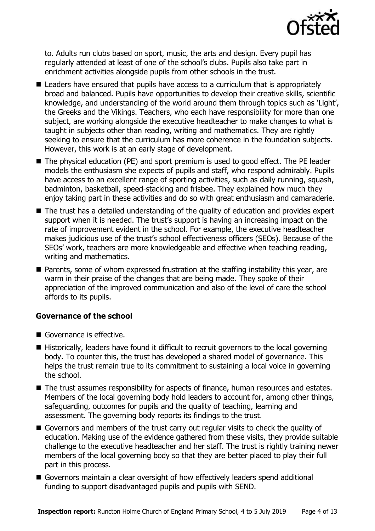

to. Adults run clubs based on sport, music, the arts and design. Every pupil has regularly attended at least of one of the school's clubs. Pupils also take part in enrichment activities alongside pupils from other schools in the trust.

- Leaders have ensured that pupils have access to a curriculum that is appropriately broad and balanced. Pupils have opportunities to develop their creative skills, scientific knowledge, and understanding of the world around them through topics such as 'Light', the Greeks and the Vikings. Teachers, who each have responsibility for more than one subject, are working alongside the executive headteacher to make changes to what is taught in subjects other than reading, writing and mathematics. They are rightly seeking to ensure that the curriculum has more coherence in the foundation subjects. However, this work is at an early stage of development.
- The physical education (PE) and sport premium is used to good effect. The PE leader models the enthusiasm she expects of pupils and staff, who respond admirably. Pupils have access to an excellent range of sporting activities, such as daily running, squash, badminton, basketball, speed-stacking and frisbee. They explained how much they enjoy taking part in these activities and do so with great enthusiasm and camaraderie.
- The trust has a detailed understanding of the quality of education and provides expert support when it is needed. The trust's support is having an increasing impact on the rate of improvement evident in the school. For example, the executive headteacher makes judicious use of the trust's school effectiveness officers (SEOs). Because of the SEOs' work, teachers are more knowledgeable and effective when teaching reading, writing and mathematics.
- Parents, some of whom expressed frustration at the staffing instability this year, are warm in their praise of the changes that are being made. They spoke of their appreciation of the improved communication and also of the level of care the school affords to its pupils.

#### **Governance of the school**

- Governance is effective.
- Historically, leaders have found it difficult to recruit governors to the local governing body. To counter this, the trust has developed a shared model of governance. This helps the trust remain true to its commitment to sustaining a local voice in governing the school.
- The trust assumes responsibility for aspects of finance, human resources and estates. Members of the local governing body hold leaders to account for, among other things, safeguarding, outcomes for pupils and the quality of teaching, learning and assessment. The governing body reports its findings to the trust.
- Governors and members of the trust carry out regular visits to check the quality of education. Making use of the evidence gathered from these visits, they provide suitable challenge to the executive headteacher and her staff. The trust is rightly training newer members of the local governing body so that they are better placed to play their full part in this process.
- Governors maintain a clear oversight of how effectively leaders spend additional funding to support disadvantaged pupils and pupils with SEND.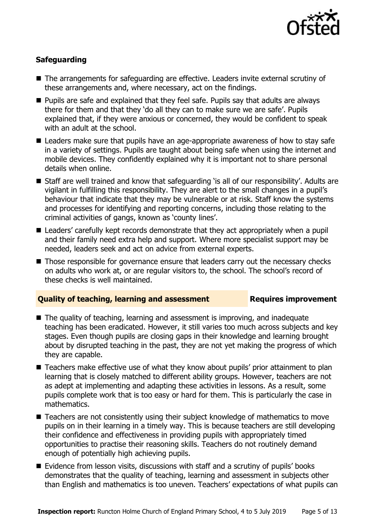

### **Safeguarding**

- The arrangements for safeguarding are effective. Leaders invite external scrutiny of these arrangements and, where necessary, act on the findings.
- Pupils are safe and explained that they feel safe. Pupils say that adults are always there for them and that they 'do all they can to make sure we are safe'. Pupils explained that, if they were anxious or concerned, they would be confident to speak with an adult at the school.
- Leaders make sure that pupils have an age-appropriate awareness of how to stay safe in a variety of settings. Pupils are taught about being safe when using the internet and mobile devices. They confidently explained why it is important not to share personal details when online.
- Staff are well trained and know that safeguarding 'is all of our responsibility'. Adults are vigilant in fulfilling this responsibility. They are alert to the small changes in a pupil's behaviour that indicate that they may be vulnerable or at risk. Staff know the systems and processes for identifying and reporting concerns, including those relating to the criminal activities of gangs, known as 'county lines'.
- Leaders' carefully kept records demonstrate that they act appropriately when a pupil and their family need extra help and support. Where more specialist support may be needed, leaders seek and act on advice from external experts.
- Those responsible for governance ensure that leaders carry out the necessary checks on adults who work at, or are regular visitors to, the school. The school's record of these checks is well maintained.

#### **Quality of teaching, learning and assessment Requires improvement**

- The quality of teaching, learning and assessment is improving, and inadequate teaching has been eradicated. However, it still varies too much across subjects and key stages. Even though pupils are closing gaps in their knowledge and learning brought about by disrupted teaching in the past, they are not yet making the progress of which they are capable.
- Teachers make effective use of what they know about pupils' prior attainment to plan learning that is closely matched to different ability groups. However, teachers are not as adept at implementing and adapting these activities in lessons. As a result, some pupils complete work that is too easy or hard for them. This is particularly the case in mathematics.
- Teachers are not consistently using their subject knowledge of mathematics to move pupils on in their learning in a timely way. This is because teachers are still developing their confidence and effectiveness in providing pupils with appropriately timed opportunities to practise their reasoning skills. Teachers do not routinely demand enough of potentially high achieving pupils.
- Evidence from lesson visits, discussions with staff and a scrutiny of pupils' books demonstrates that the quality of teaching, learning and assessment in subjects other than English and mathematics is too uneven. Teachers' expectations of what pupils can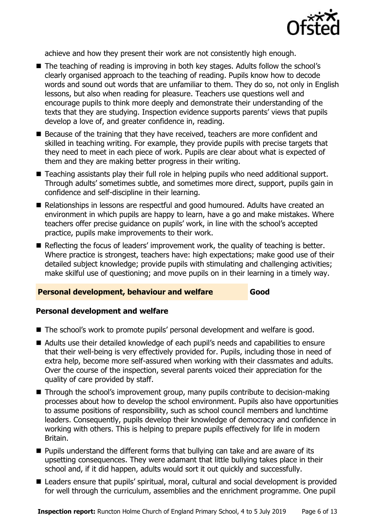

achieve and how they present their work are not consistently high enough.

- The teaching of reading is improving in both key stages. Adults follow the school's clearly organised approach to the teaching of reading. Pupils know how to decode words and sound out words that are unfamiliar to them. They do so, not only in English lessons, but also when reading for pleasure. Teachers use questions well and encourage pupils to think more deeply and demonstrate their understanding of the texts that they are studying. Inspection evidence supports parents' views that pupils develop a love of, and greater confidence in, reading.
- Because of the training that they have received, teachers are more confident and skilled in teaching writing. For example, they provide pupils with precise targets that they need to meet in each piece of work. Pupils are clear about what is expected of them and they are making better progress in their writing.
- Teaching assistants play their full role in helping pupils who need additional support. Through adults' sometimes subtle, and sometimes more direct, support, pupils gain in confidence and self-discipline in their learning.
- Relationships in lessons are respectful and good humoured. Adults have created an environment in which pupils are happy to learn, have a go and make mistakes. Where teachers offer precise guidance on pupils' work, in line with the school's accepted practice, pupils make improvements to their work.
- Reflecting the focus of leaders' improvement work, the quality of teaching is better. Where practice is strongest, teachers have: high expectations; make good use of their detailed subject knowledge; provide pupils with stimulating and challenging activities; make skilful use of questioning; and move pupils on in their learning in a timely way.

#### **Personal development, behaviour and welfare Good**

#### **Personal development and welfare**

- The school's work to promote pupils' personal development and welfare is good.
- Adults use their detailed knowledge of each pupil's needs and capabilities to ensure that their well-being is very effectively provided for. Pupils, including those in need of extra help, become more self-assured when working with their classmates and adults. Over the course of the inspection, several parents voiced their appreciation for the quality of care provided by staff.
- Through the school's improvement group, many pupils contribute to decision-making processes about how to develop the school environment. Pupils also have opportunities to assume positions of responsibility, such as school council members and lunchtime leaders. Consequently, pupils develop their knowledge of democracy and confidence in working with others. This is helping to prepare pupils effectively for life in modern Britain.
- Pupils understand the different forms that bullying can take and are aware of its upsetting consequences. They were adamant that little bullying takes place in their school and, if it did happen, adults would sort it out quickly and successfully.
- Leaders ensure that pupils' spiritual, moral, cultural and social development is provided for well through the curriculum, assemblies and the enrichment programme. One pupil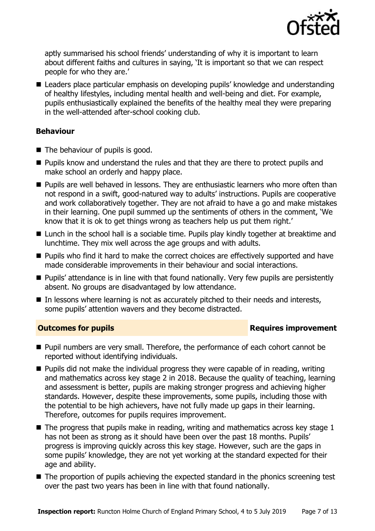

aptly summarised his school friends' understanding of why it is important to learn about different faiths and cultures in saying, 'It is important so that we can respect people for who they are.'

■ Leaders place particular emphasis on developing pupils' knowledge and understanding of healthy lifestyles, including mental health and well-being and diet. For example, pupils enthusiastically explained the benefits of the healthy meal they were preparing in the well-attended after-school cooking club.

### **Behaviour**

- The behaviour of pupils is good.
- Pupils know and understand the rules and that they are there to protect pupils and make school an orderly and happy place.
- Pupils are well behaved in lessons. They are enthusiastic learners who more often than not respond in a swift, good-natured way to adults' instructions. Pupils are cooperative and work collaboratively together. They are not afraid to have a go and make mistakes in their learning. One pupil summed up the sentiments of others in the comment, 'We know that it is ok to get things wrong as teachers help us put them right.'
- Lunch in the school hall is a sociable time. Pupils play kindly together at breaktime and lunchtime. They mix well across the age groups and with adults.
- Pupils who find it hard to make the correct choices are effectively supported and have made considerable improvements in their behaviour and social interactions.
- Pupils' attendance is in line with that found nationally. Very few pupils are persistently absent. No groups are disadvantaged by low attendance.
- $\blacksquare$  In lessons where learning is not as accurately pitched to their needs and interests, some pupils' attention wavers and they become distracted.

#### **Outcomes for pupils Requires improvement**

- Pupil numbers are very small. Therefore, the performance of each cohort cannot be reported without identifying individuals.
- Pupils did not make the individual progress they were capable of in reading, writing and mathematics across key stage 2 in 2018. Because the quality of teaching, learning and assessment is better, pupils are making stronger progress and achieving higher standards. However, despite these improvements, some pupils, including those with the potential to be high achievers, have not fully made up gaps in their learning. Therefore, outcomes for pupils requires improvement.
- $\blacksquare$  The progress that pupils make in reading, writing and mathematics across key stage 1 has not been as strong as it should have been over the past 18 months. Pupils' progress is improving quickly across this key stage. However, such are the gaps in some pupils' knowledge, they are not yet working at the standard expected for their age and ability.
- The proportion of pupils achieving the expected standard in the phonics screening test over the past two years has been in line with that found nationally.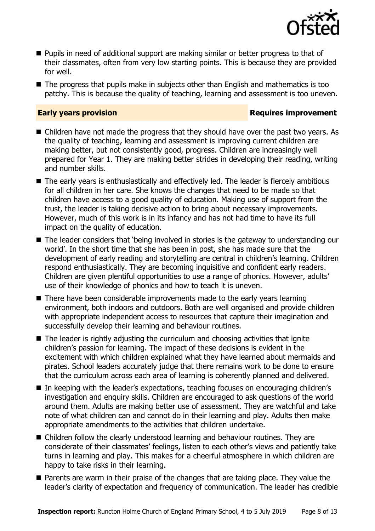

- Pupils in need of additional support are making similar or better progress to that of their classmates, often from very low starting points. This is because they are provided for well.
- The progress that pupils make in subjects other than English and mathematics is too patchy. This is because the quality of teaching, learning and assessment is too uneven.

#### **Early years provision Requires improvement**

- Children have not made the progress that they should have over the past two years. As the quality of teaching, learning and assessment is improving current children are making better, but not consistently good, progress. Children are increasingly well prepared for Year 1. They are making better strides in developing their reading, writing and number skills.
- The early years is enthusiastically and effectively led. The leader is fiercely ambitious for all children in her care. She knows the changes that need to be made so that children have access to a good quality of education. Making use of support from the trust, the leader is taking decisive action to bring about necessary improvements. However, much of this work is in its infancy and has not had time to have its full impact on the quality of education.
- The leader considers that 'being involved in stories is the gateway to understanding our world'. In the short time that she has been in post, she has made sure that the development of early reading and storytelling are central in children's learning. Children respond enthusiastically. They are becoming inquisitive and confident early readers. Children are given plentiful opportunities to use a range of phonics. However, adults' use of their knowledge of phonics and how to teach it is uneven.
- There have been considerable improvements made to the early vears learning environment, both indoors and outdoors. Both are well organised and provide children with appropriate independent access to resources that capture their imagination and successfully develop their learning and behaviour routines.
- $\blacksquare$  The leader is rightly adjusting the curriculum and choosing activities that ignite children's passion for learning. The impact of these decisions is evident in the excitement with which children explained what they have learned about mermaids and pirates. School leaders accurately judge that there remains work to be done to ensure that the curriculum across each area of learning is coherently planned and delivered.
- In keeping with the leader's expectations, teaching focuses on encouraging children's investigation and enquiry skills. Children are encouraged to ask questions of the world around them. Adults are making better use of assessment. They are watchful and take note of what children can and cannot do in their learning and play. Adults then make appropriate amendments to the activities that children undertake.
- Children follow the clearly understood learning and behaviour routines. They are considerate of their classmates' feelings, listen to each other's views and patiently take turns in learning and play. This makes for a cheerful atmosphere in which children are happy to take risks in their learning.
- Parents are warm in their praise of the changes that are taking place. They value the leader's clarity of expectation and frequency of communication. The leader has credible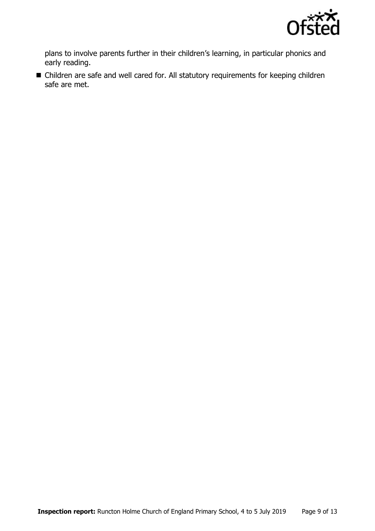

plans to involve parents further in their children's learning, in particular phonics and early reading.

■ Children are safe and well cared for. All statutory requirements for keeping children safe are met.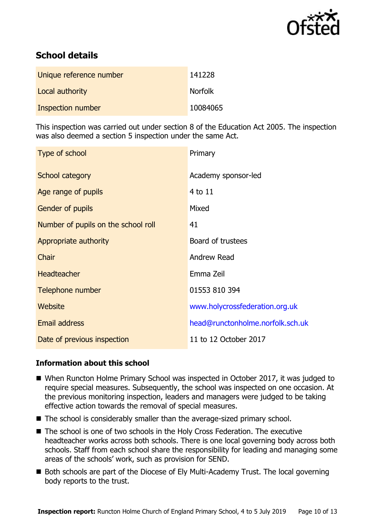

# **School details**

| Unique reference number | 141228         |
|-------------------------|----------------|
| Local authority         | <b>Norfolk</b> |
| Inspection number       | 10084065       |

This inspection was carried out under section 8 of the Education Act 2005. The inspection was also deemed a section 5 inspection under the same Act.

| Type of school                      | Primary                          |
|-------------------------------------|----------------------------------|
| School category                     | Academy sponsor-led              |
| Age range of pupils                 | $4$ to $11$                      |
| <b>Gender of pupils</b>             | Mixed                            |
| Number of pupils on the school roll | 41                               |
| Appropriate authority               | Board of trustees                |
| Chair                               | <b>Andrew Read</b>               |
| Headteacher                         | Emma Zeil                        |
| Telephone number                    | 01553 810 394                    |
| Website                             | www.holycrossfederation.org.uk   |
| <b>Email address</b>                | head@runctonholme.norfolk.sch.uk |
| Date of previous inspection         | 11 to 12 October 2017            |

#### **Information about this school**

- When Runcton Holme Primary School was inspected in October 2017, it was judged to require special measures. Subsequently, the school was inspected on one occasion. At the previous monitoring inspection, leaders and managers were judged to be taking effective action towards the removal of special measures.
- The school is considerably smaller than the average-sized primary school.
- The school is one of two schools in the Holy Cross Federation. The executive headteacher works across both schools. There is one local governing body across both schools. Staff from each school share the responsibility for leading and managing some areas of the schools' work, such as provision for SEND.
- Both schools are part of the Diocese of Ely Multi-Academy Trust. The local governing body reports to the trust.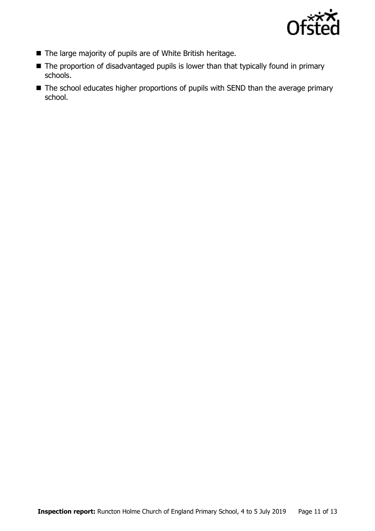

- The large majority of pupils are of White British heritage.
- The proportion of disadvantaged pupils is lower than that typically found in primary schools.
- The school educates higher proportions of pupils with SEND than the average primary school.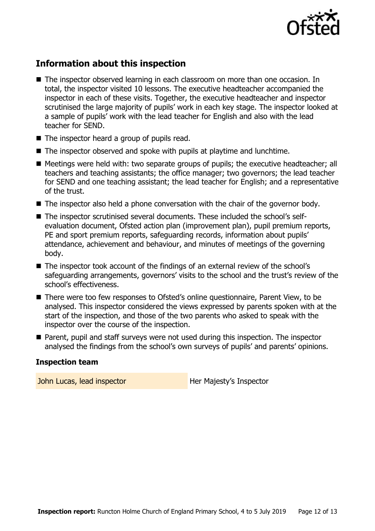

# **Information about this inspection**

- The inspector observed learning in each classroom on more than one occasion. In total, the inspector visited 10 lessons. The executive headteacher accompanied the inspector in each of these visits. Together, the executive headteacher and inspector scrutinised the large majority of pupils' work in each key stage. The inspector looked at a sample of pupils' work with the lead teacher for English and also with the lead teacher for SEND.
- The inspector heard a group of pupils read.
- The inspector observed and spoke with pupils at playtime and lunchtime.
- Meetings were held with: two separate groups of pupils; the executive headteacher; all teachers and teaching assistants; the office manager; two governors; the lead teacher for SEND and one teaching assistant; the lead teacher for English; and a representative of the trust.
- The inspector also held a phone conversation with the chair of the governor body.
- The inspector scrutinised several documents. These included the school's selfevaluation document, Ofsted action plan (improvement plan), pupil premium reports, PE and sport premium reports, safeguarding records, information about pupils' attendance, achievement and behaviour, and minutes of meetings of the governing body.
- The inspector took account of the findings of an external review of the school's safeguarding arrangements, governors' visits to the school and the trust's review of the school's effectiveness.
- There were too few responses to Ofsted's online questionnaire, Parent View, to be analysed. This inspector considered the views expressed by parents spoken with at the start of the inspection, and those of the two parents who asked to speak with the inspector over the course of the inspection.
- Parent, pupil and staff surveys were not used during this inspection. The inspector analysed the findings from the school's own surveys of pupils' and parents' opinions.

#### **Inspection team**

John Lucas, lead inspector **Her Majesty's Inspector**